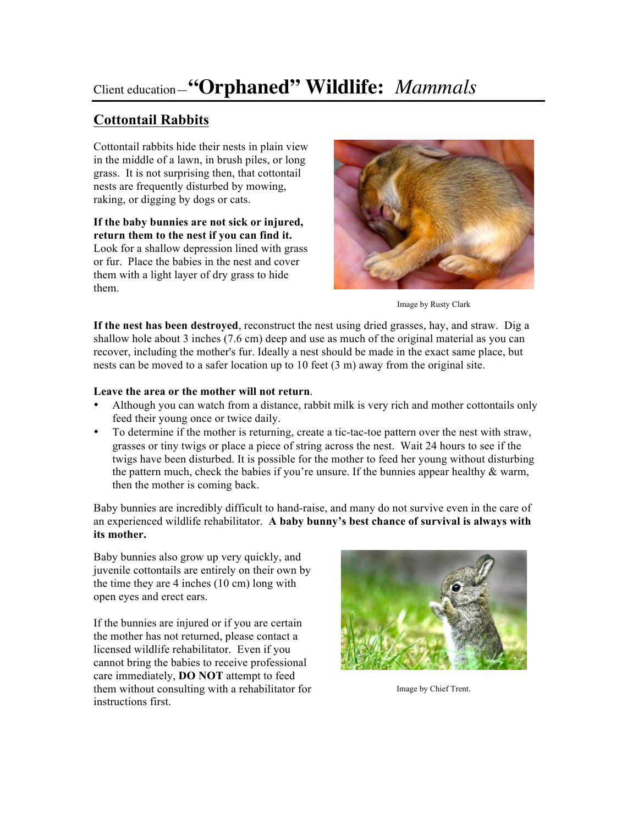# Client education—**"Orphaned" Wildlife:** *Mammals*

# **Cottontail Rabbits**

Cottontail rabbits hide their nests in plain view in the middle of a lawn, in brush piles, or long grass. It is not surprising then, that cottontail nests are frequently disturbed by mowing, raking, or digging by dogs or cats.

**If the baby bunnies are not sick or injured, return them to the nest if you can find it.** Look for a shallow depression lined with grass or fur. Place the babies in the nest and cover them with a light layer of dry grass to hide them.



Image by Rusty Clark

**If the nest has been destroyed**, reconstruct the nest using dried grasses, hay, and straw. Dig a shallow hole about 3 inches (7.6 cm) deep and use as much of the original material as you can recover, including the mother's fur. Ideally a nest should be made in the exact same place, but nests can be moved to a safer location up to 10 feet (3 m) away from the original site.

### **Leave the area or the mother will not return**.

- Although you can watch from a distance, rabbit milk is very rich and mother cottontails only feed their young once or twice daily.
- To determine if the mother is returning, create a tic-tac-toe pattern over the nest with straw, grasses or tiny twigs or place a piece of string across the nest. Wait 24 hours to see if the twigs have been disturbed. It is possible for the mother to feed her young without disturbing the pattern much, check the babies if you're unsure. If the bunnies appear healthy  $\&$  warm, then the mother is coming back.

Baby bunnies are incredibly difficult to hand-raise, and many do not survive even in the care of an experienced wildlife rehabilitator. **A baby bunny's best chance of survival is always with its mother.**

Baby bunnies also grow up very quickly, and juvenile cottontails are entirely on their own by the time they are 4 inches (10 cm) long with open eyes and erect ears.

If the bunnies are injured or if you are certain the mother has not returned, please contact a licensed wildlife rehabilitator. Even if you cannot bring the babies to receive professional care immediately, **DO NOT** attempt to feed them without consulting with a rehabilitator for instructions first.



Image by Chief Trent.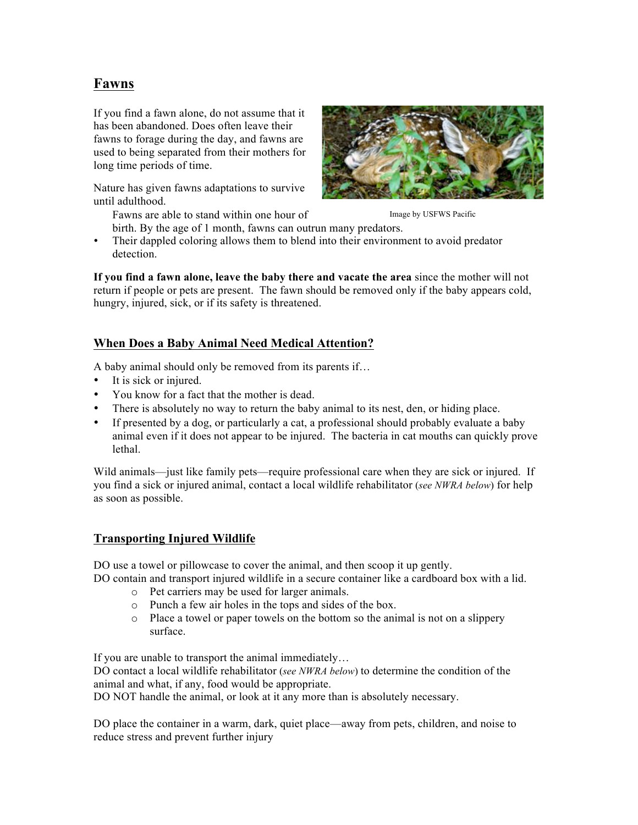## **Fawns**

If you find a fawn alone, do not assume that it has been abandoned. Does often leave their fawns to forage during the day, and fawns are used to being separated from their mothers for long time periods of time.

Nature has given fawns adaptations to survive until adulthood.



Fawns are able to stand within one hour of Image by USFWS Pacific

birth. By the age of 1 month, fawns can outrun many predators. Their dappled coloring allows them to blend into their environment to avoid predator detection.

**If you find a fawn alone, leave the baby there and vacate the area** since the mother will not return if people or pets are present. The fawn should be removed only if the baby appears cold, hungry, injured, sick, or if its safety is threatened.

## **When Does a Baby Animal Need Medical Attention?**

A baby animal should only be removed from its parents if…

- It is sick or injured.
- You know for a fact that the mother is dead.
- There is absolutely no way to return the baby animal to its nest, den, or hiding place.
- If presented by a dog, or particularly a cat, a professional should probably evaluate a baby animal even if it does not appear to be injured. The bacteria in cat mouths can quickly prove lethal.

Wild animals—just like family pets—require professional care when they are sick or injured. If you find a sick or injured animal, contact a local wildlife rehabilitator (*see NWRA below*) for help as soon as possible.

## **Transporting Injured Wildlife**

DO use a towel or pillowcase to cover the animal, and then scoop it up gently.

DO contain and transport injured wildlife in a secure container like a cardboard box with a lid.

- o Pet carriers may be used for larger animals.
- o Punch a few air holes in the tops and sides of the box.
- o Place a towel or paper towels on the bottom so the animal is not on a slippery surface.

If you are unable to transport the animal immediately…

DO contact a local wildlife rehabilitator (*see NWRA below*) to determine the condition of the animal and what, if any, food would be appropriate.

DO NOT handle the animal, or look at it any more than is absolutely necessary.

DO place the container in a warm, dark, quiet place—away from pets, children, and noise to reduce stress and prevent further injury